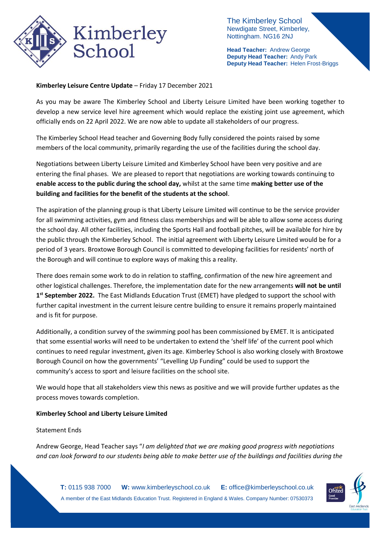

The Kimberley School Newdigate Street, Kimberley, Nottingham. NG16 2NJ

**Head Teacher:** Andrew George **Deputy Head Teacher:** Andy Park **Deputy Head Teacher:** Helen Frost-Briggs

## **Kimberley Leisure Centre Update** – Friday 17 December 2021

As you may be aware The Kimberley School and Liberty Leisure Limited have been working together to develop a new service level hire agreement which would replace the existing joint use agreement, which officially ends on 22 April 2022. We are now able to update all stakeholders of our progress.

The Kimberley School Head teacher and Governing Body fully considered the points raised by some members of the local community, primarily regarding the use of the facilities during the school day.

Negotiations between Liberty Leisure Limited and Kimberley School have been very positive and are entering the final phases. We are pleased to report that negotiations are working towards continuing to **enable access to the public during the school day,** whilst at the same time **making better use of the building and facilities for the benefit of the students at the school**.

The aspiration of the planning group is that Liberty Leisure Limited will continue to be the service provider for all swimming activities, gym and fitness class memberships and will be able to allow some access during the school day. All other facilities, including the Sports Hall and football pitches, will be available for hire by the public through the Kimberley School. The initial agreement with Liberty Leisure Limited would be for a period of 3 years. Broxtowe Borough Council is committed to developing facilities for residents' north of the Borough and will continue to explore ways of making this a reality.

There does remain some work to do in relation to staffing, confirmation of the new hire agreement and other logistical challenges. Therefore, the implementation date for the new arrangements **will not be until 1 st September 2022.** The East Midlands Education Trust (EMET) have pledged to support the school with further capital investment in the current leisure centre building to ensure it remains properly maintained and is fit for purpose.

Additionally, a condition survey of the swimming pool has been commissioned by EMET. It is anticipated that some essential works will need to be undertaken to extend the 'shelf life' of the current pool which continues to need regular investment, given its age. Kimberley School is also working closely with Broxtowe Borough Council on how the governments' "Levelling Up Funding" could be used to support the community's access to sport and leisure facilities on the school site.

We would hope that all stakeholders view this news as positive and we will provide further updates as the process moves towards completion.

## **Kimberley School and Liberty Leisure Limited**

## Statement Ends

Andrew George, Head Teacher says "*I am delighted that we are making good progress with negotiations and can look forward to our students being able to make better use of the buildings and facilities during the*